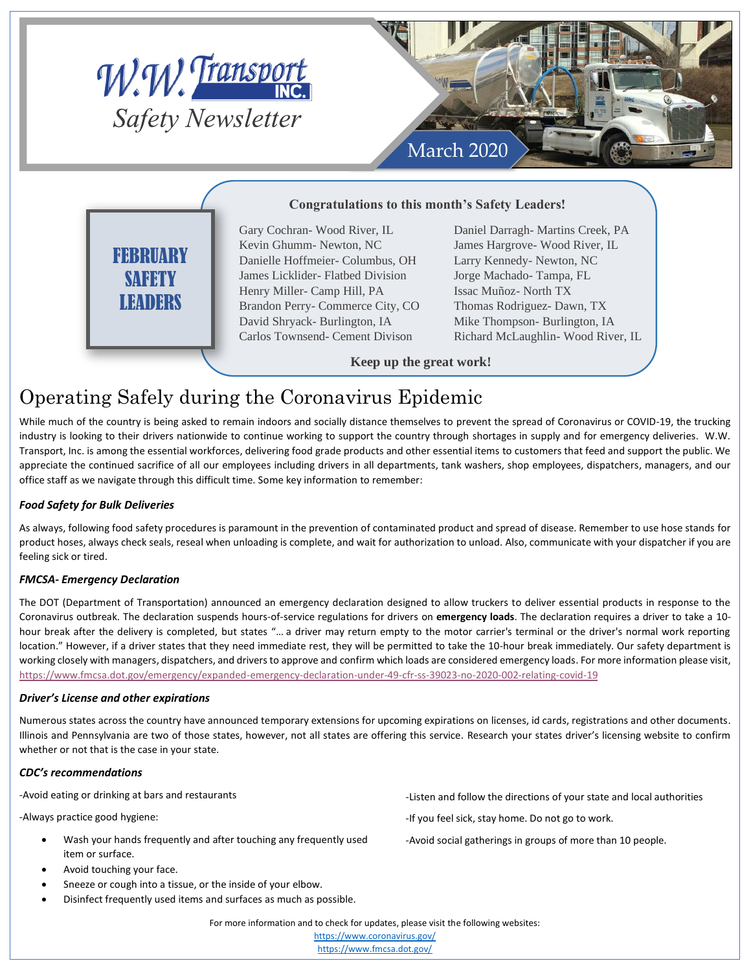

# FEBRUARY SAFETY LEADERS

Danielle Hoffmeier- Columbus, OH James Licklider- Flatbed Division Henry Miller- Camp Hill, PA Brandon Perry- Commerce City, CO David Shryack- Burlington, IA Carlos Townsend- Cement Divison

Larry Kennedy- Newton, NC Jorge Machado- Tampa, FL Issac Muñoz- North TX Thomas Rodriguez- Dawn, TX Mike Thompson- Burlington, IA Richard McLaughlin- Wood River, IL

**Keep up the great work!**

## Operating Safely during the Coronavirus Epidemic

While much of the country is being asked to remain indoors and socially distance themselves to prevent the spread of Coronavirus or COVID-19, the trucking industry is looking to their drivers nationwide to continue working to support the country through shortages in supply and for emergency deliveries. W.W. Transport, Inc. is among the essential workforces, delivering food grade products and other essential items to customers that feed and support the public. We appreciate the continued sacrifice of all our employees including drivers in all departments, tank washers, shop employees, dispatchers, managers, and our office staff as we navigate through this difficult time. Some key information to remember:

### *Food Safety for Bulk Deliveries*

As always, following food safety procedures is paramount in the prevention of contaminated product and spread of disease. Remember to use hose stands for product hoses, always check seals, reseal when unloading is complete, and wait for authorization to unload. Also, communicate with your dispatcher if you are feeling sick or tired.

### *FMCSA- Emergency Declaration*

The DOT (Department of Transportation) announced an emergency declaration designed to allow truckers to deliver essential products in response to the Coronavirus outbreak. The declaration suspends hours-of-service regulations for drivers on **emergency loads**. The declaration requires a driver to take a 10 hour break after the delivery is completed, but states "… a driver may return empty to the motor carrier's terminal or the driver's normal work reporting location." However, if a driver states that they need immediate rest, they will be permitted to take the 10-hour break immediately. Our safety department is working closely with managers, dispatchers, and drivers to approve and confirm which loads are considered emergency loads. For more information please visit, <https://www.fmcsa.dot.gov/emergency/expanded-emergency-declaration-under-49-cfr-ss-39023-no-2020-002-relating-covid-19>

### *Driver's License and other expirations*

Numerous states across the country have announced temporary extensions for upcoming expirations on licenses, id cards, registrations and other documents. Illinois and Pennsylvania are two of those states, however, not all states are offering this service. Research your states driver's licensing website to confirm whether or not that is the case in your state.

#### *CDC's recommendations*

-Avoid eating or drinking at bars and restaurants

-Always practice good hygiene:

- Wash your hands frequently and after touching any frequently used item or surface.
- Avoid touching your face.
- Sneeze or cough into a tissue, or the inside of your elbow.
- Disinfect frequently used items and surfaces as much as possible.
- -Listen and follow the directions of your state and local authorities
- -If you feel sick, stay home. Do not go to work.
- -Avoid social gatherings in groups of more than 10 people.

For more information and to check for updates, please visit the following websites:

<https://www.coronavirus.gov/> <https://www.fmcsa.dot.gov/>